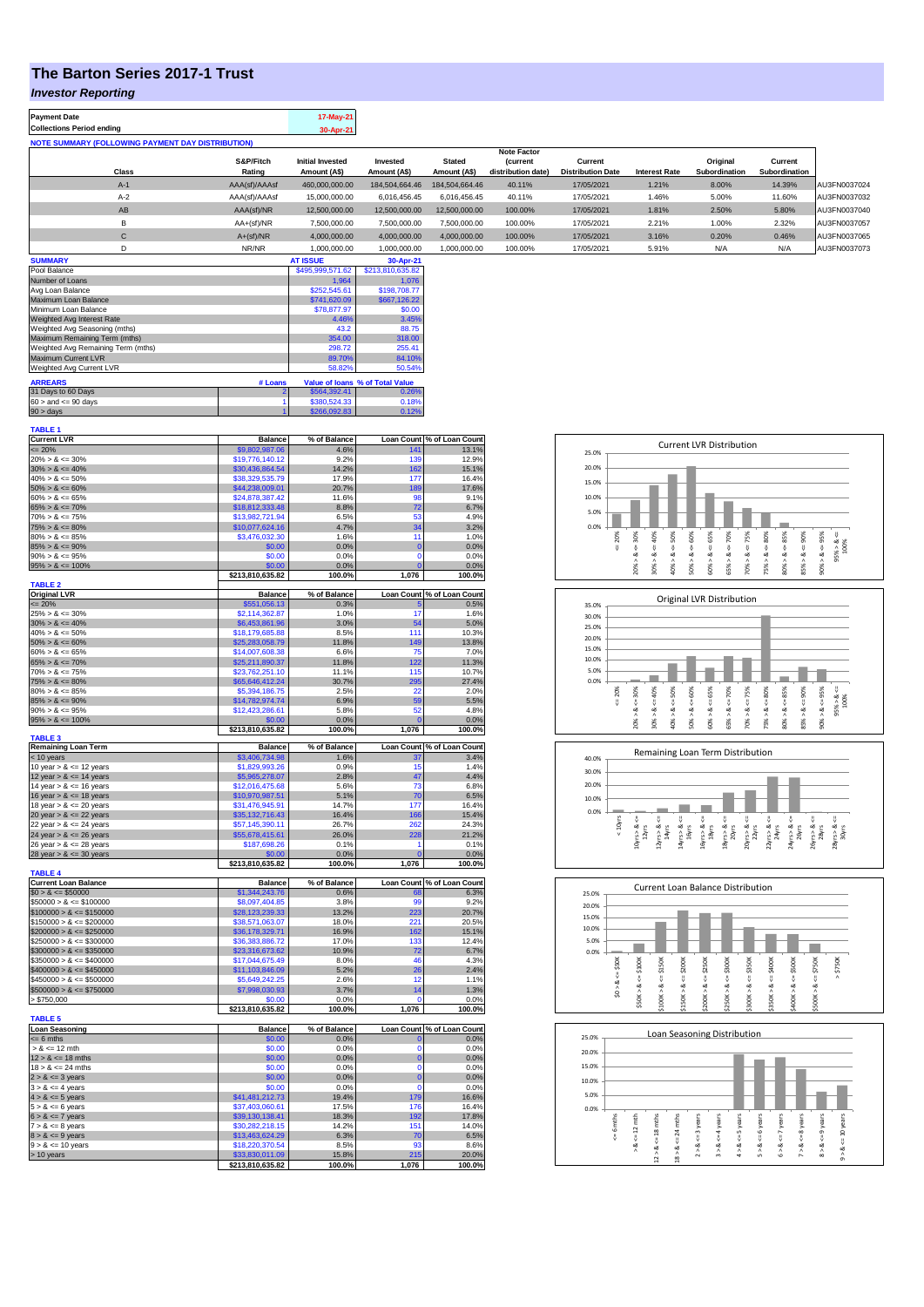# **The Barton Series 2017-1 Trust**

#### *Investor Reporting*

| <b>Payment Date</b><br><b>Collections Period ending</b>  |                     | 17-May-21<br>30-Apr-21                  |                          |                               |                                      |                                     |                      |                           |                          |              |
|----------------------------------------------------------|---------------------|-----------------------------------------|--------------------------|-------------------------------|--------------------------------------|-------------------------------------|----------------------|---------------------------|--------------------------|--------------|
| <b>NOTE SUMMARY (FOLLOWING PAYMENT DAY DISTRIBUTION)</b> |                     |                                         |                          |                               |                                      |                                     |                      |                           |                          |              |
|                                                          |                     |                                         |                          |                               | <b>Note Factor</b>                   |                                     |                      |                           |                          |              |
| Class                                                    | S&P/Fitch<br>Rating | <b>Initial Invested</b><br>Amount (A\$) | Invested<br>Amount (A\$) | <b>Stated</b><br>Amount (A\$) | <b>Current</b><br>distribution date) | Current<br><b>Distribution Date</b> | <b>Interest Rate</b> | Original<br>Subordination | Current<br>Subordination |              |
| $A-1$                                                    | AAA(sf)/AAAsf       | 460,000,000.00                          | 184,504,664.46           | 184.504.664.46                | 40.11%                               | 17/05/2021                          | 1.21%                | 8.00%                     | 14.39%                   | AU3FN0037024 |
| $A-2$                                                    | AAA(sf)/AAAsf       | 15,000,000.00                           | 6,016,456.45             | 6.016.456.45                  | 40.11%                               | 17/05/2021                          | 1.46%                | 5.00%                     | 11.60%                   | AU3FN0037032 |
| AB                                                       | AAA(sf)/NR          | 12,500,000.00                           | 12,500,000.00            | 12,500,000.00                 | 100.00%                              | 17/05/2021                          | 1.81%                | 2.50%                     | 5.80%                    | AU3FN0037040 |
| B                                                        | $AA+(sf)/NR$        | 7.500.000.00                            | 7,500,000.00             | 7.500.000.00                  | 100.00%                              | 17/05/2021                          | 2.21%                | 1.00%                     | 2.32%                    | AU3FN0037057 |
| С                                                        | $A+(sf)/NR$         | 4.000.000.00                            | 4,000,000.00             | 4.000.000.00                  | 100.00%                              | 17/05/2021                          | 3.16%                | 0.20%                     | 0.46%                    | AU3FN0037065 |
| D                                                        | NR/NR               | 1.000.000.00                            | 1,000,000.00             | 1.000.000.00                  | 100.00%                              | 17/05/2021                          | 5.91%                | N/A                       | N/A                      | AU3FN0037073 |
| <b>SUMMARY</b>                                           |                     | <b>AT ISSUE</b>                         | 30-Apr-21                |                               |                                      |                                     |                      |                           |                          |              |

| Pool Balance                       |         | \$495,999,571.62 | \$213,810,635.82                |
|------------------------------------|---------|------------------|---------------------------------|
| Number of Loans                    |         | 1.964            | 1.076                           |
| Avg Loan Balance                   |         | \$252,545.61     | \$198,708.77                    |
| Maximum Loan Balance               |         | \$741,620.09     | \$667,126.22                    |
| Minimum Loan Balance               |         | \$78,877.97      | \$0.00                          |
| Weighted Avg Interest Rate         |         | 4.46%            | 3.45%                           |
| Weighted Avg Seasoning (mths)      |         | 43.2             | 88.75                           |
| Maximum Remaining Term (mths)      |         | 354.00           | 318.00                          |
| Weighted Avg Remaining Term (mths) | 298.72  | 255.41           |                                 |
| Maximum Current LVR                |         | 89.70%           | 84.10%                          |
| Weighted Avg Current LVR           |         | 58.82%           | 50.54%                          |
| <b>ARREARS</b>                     | # Loans |                  | Value of Ioans % of Total Value |
|                                    |         |                  |                                 |
| 31 Days to 60 Days                 |         | \$564.392.41     | 0.26%                           |
| $60 >$ and $\leq 90$ days          |         | \$380.524.33     | 0.18%                           |
| $90 >$ days                        |         | \$266.092.83     | 0.12%                           |

| <b>TABLE 1</b>              |                                     |                 |                   |                            |
|-----------------------------|-------------------------------------|-----------------|-------------------|----------------------------|
| <b>Current LVR</b>          | <b>Balance</b>                      | % of Balance    |                   | Loan Count % of Loan Count |
| $= 20%$                     | \$9,802,987.06                      | 4.6%            | 141               | 13.1%                      |
| $20\% > 8 \le 30\%$         | \$19,776,140.12                     | 9.2%            | 139               | 12.9%                      |
|                             |                                     |                 |                   |                            |
| $30\% > 8 \le 40\%$         | \$30,436,864.54                     | 14.2%           | 162               | 15.1%                      |
| $40\% > 8 \le 50\%$         | \$38,329,535.79                     | 17.9%           | 177               | 16.4%                      |
| $50\% > 8 \le 60\%$         | \$44,238,009.01                     | 20.7%           | 189               | 17.6%                      |
| $60\% > 8 \le 65\%$         | \$24,878,387.42                     | 11.6%           | 98                | 9.1%                       |
| $65\% > 8 \le 70\%$         | \$18,812,333.48                     | 8.8%            | 72                | 6.7%                       |
|                             |                                     |                 | 53                |                            |
| $70\% > 8 \le 75\%$         | \$13,982,721.94                     | 6.5%            |                   | 4.9%                       |
| $75\% > 8 \le 80\%$         | \$10,077,624.16                     | 4.7%            | 34                | 3.2%                       |
| $80\% > 8 \le 85\%$         | \$3,476,032.30                      | 1.6%            | 11                | 1.0%                       |
| $85\% > 8 \le 90\%$         | \$0.00                              | 0.0%            | $\mathbf 0$       | 0.0%                       |
| $90\% > 8 \le 95\%$         | \$0.00                              | 0.0%            | $\mathbf 0$       | 0.0%                       |
|                             |                                     |                 | $\Omega$          |                            |
| $95\% > 8 \le 100\%$        | \$0.00                              | 0.0%            |                   | 0.0%                       |
|                             | \$213,810,635.82                    | 100.0%          | 1,076             | 100.0%                     |
| <b>TABLE 2</b>              |                                     |                 |                   |                            |
| <b>Original LVR</b>         | <b>Balance</b>                      | % of Balance    | <b>Loan Count</b> | % of Loan Count            |
| $\leq$ 20%                  | \$551,056.13                        | 0.3%            |                   | 0.5%                       |
| $25\% > 8 \le 30\%$         | \$2,114,362.87                      | 1.0%            | 17                | 1.6%                       |
|                             |                                     |                 |                   |                            |
| $30\% > 8 \le 40\%$         | \$6,453,861.96                      | 3.0%            | 54                | 5.0%                       |
| $40\% > 8 \le 50\%$         | \$18,179,685.88                     | 8.5%            | 111               | 10.3%                      |
| $50\% > 8 \le 60\%$         | \$25,283,058.79                     | 11.8%           | 149               | 13.8%                      |
| $60\% > 8 \le 65\%$         | \$14,007,608.38                     | 6.6%            | 75                | 7.0%                       |
| $65\% > 8 \le 70\%$         | \$25,211,890.37                     | 11.8%           | 122               | 11.3%                      |
|                             |                                     |                 |                   |                            |
| $70\% > 8 \le 75\%$         | \$23,762,251.10                     | 11.1%           | 115               | 10.7%                      |
| $75\% > 8 \le 80\%$         | \$65,646,412.24                     | 30.7%           | 295               | 27.4%                      |
| $80\% > 8 \le 85\%$         | \$5,394,186.75                      | 2.5%            | 22                | 2.0%                       |
| $85\% > 8 \le 90\%$         | \$14,782,974.74                     | 6.9%            | 59                | 5.5%                       |
|                             |                                     |                 |                   |                            |
| $90\% > 8 \le 95\%$         | \$12,423,286.61                     | 5.8%            | 52                | 4.8%                       |
| $95\% > 8 \le 100\%$        | \$0.00                              | 0.0%            |                   | 0.0%                       |
|                             | \$213,810,635.82                    | 100.0%          | 1,076             | 100.0%                     |
| <b>TABLE 3</b>              |                                     |                 |                   |                            |
| <b>Remaining Loan Term</b>  | <b>Balance</b>                      | % of Balance    | <b>Loan Count</b> | % of Loan Count            |
| $<$ 10 years                | \$3,406,734.98                      | 1.6%            | 37                | 3.4%                       |
| 10 year $> 8 \le 12$ years  | \$1,829,993.26                      | 0.9%            | 15                | 1.4%                       |
|                             |                                     |                 |                   |                            |
| 12 year $> 8 \le 14$ years  | \$5,965,278.07                      | 2.8%            | 47                | 4.4%                       |
| 14 year $> 8 \le 16$ years  | \$12,016,475.68                     | 5.6%            | 73                | 6.8%                       |
| 16 year $> 8 \le 18$ years  | \$10,970,987.51                     | 5.1%            | 70                | 6.5%                       |
| 18 year $> 8 \le 20$ years  | \$31,476,945.91                     | 14.7%           | 177               | 16.4%                      |
| 20 year $> 8 \le 22$ years  | \$35,132,716.43                     | 16.4%           | 166               | 15.4%                      |
|                             |                                     |                 |                   |                            |
| 22 year $> 8 \le 24$ years  | \$57,145,390.11                     | 26.7%           | 262               | 24.3%                      |
| 24 year $> 8 \le 26$ years  | \$55,678,415.61                     | 26.0%           | 228               | 21.2%                      |
| 26 year $> 8 \le 28$ years  | \$187,698.26                        | 0.1%            | 1                 | 0.1%                       |
| 28 year $> 8 \le 30$ years  | \$0.00                              | 0.0%            |                   | 0.0%                       |
|                             |                                     |                 |                   |                            |
|                             | \$213,810,635.82                    | 100.0%          | 1,076             | 100.0%                     |
| <b>TABLE 4</b>              |                                     |                 |                   |                            |
| <b>Current Loan Balance</b> | <b>Balance</b>                      | % of Balance    |                   | Loan Count % of Loan Count |
| $$0 > 8 \le $50000$         | \$1,344,243.76                      | 0.6%            | 68                | 6.3%                       |
| $$50000 > 8 \le $100000$    | \$8,097,404.85                      | 3.8%            | 99                | 9.2%                       |
|                             |                                     |                 | 223               |                            |
| $$100000 > 8 \le $150000$   | \$28.123.239.33                     | 13.2%           |                   | 20.7%                      |
| $$150000 > 8 \le $200000$   | \$38,571,063.07                     | 18.0%           | 221               | 20.5%                      |
| $$200000 > 8 \le $250000$   | \$36,178,329.71                     | 16.9%           | 162               | 15.1%                      |
| $$250000 > 8 \le $300000$   | \$36,383,886.72                     | 17.0%           | 133               | 12.4%                      |
| $$300000 > 8 \leq $350000$  | \$23,316,673.62                     | 10.9%           | 72                | 6.7%                       |
|                             | \$17,044,675.49                     |                 | 46                | 4.3%                       |
| $$350000 > 8 \le $400000$   |                                     |                 |                   |                            |
|                             |                                     | 8.0%            |                   |                            |
| $$400000 > 8 \le $450000$   | \$11,103,846.09                     | 5.2%            | 26                | 2.4%                       |
| $$450000 > 8 \le $500000$   | \$5,649,242.25                      | 2.6%            | 12                | 1.1%                       |
|                             |                                     |                 |                   |                            |
| $$500000 > 8 \le $750000$   | \$7,998,030.93                      | 3.7%            | 14                | 1.3%                       |
| > \$750,000                 | \$0.00                              | 0.0%            | C                 | 0.0%                       |
|                             | \$213,810,635.82                    | 100.0%          | 1,076             | 100.0%                     |
| <b>TABLE 5</b>              |                                     |                 |                   |                            |
| <b>Loan Seasoning</b>       | <b>Balance</b>                      |                 |                   |                            |
|                             |                                     | % of Balance    | Loan Count<br>O   | % of Loan Count            |
| $= 6$ mths                  | \$0.00                              | 0.0%            |                   | 0.0%                       |
| $> 8 \le 12$ mth            | \$0.00                              | 0.0%            | $\Omega$          | 0.0%                       |
| $12 > 8 \le 18$ mths        | \$0.00                              | 0.0%            | $\mathbf 0$       | 0.0%                       |
| $18 > 8 \le 24$ mths        | \$0.00                              | 0.0%            | O                 | 0.0%                       |
|                             | \$0.00                              | 0.0%            | $\mathbf 0$       | 0.0%                       |
| $2 > 8 \le 3$ years         |                                     |                 |                   |                            |
| $3 > 8 \le 4$ years         | \$0.00                              | 0.0%            | $\mathbf 0$       | 0.0%                       |
| $4 > 8 \le 5$ years         | \$41,481,212.73                     | 19.4%           | 179               | 16.6%                      |
| $5 > 8 \le 6$ years         | \$37,403,060.61                     | 17.5%           | 176               | 16.4%                      |
| $6 > 8 \le 7$ years         | \$39,130,138.41                     | 18.3%           | 192               | 17.8%                      |
|                             |                                     |                 |                   |                            |
| $7 > 8 \le 8$ years         | \$30,282,218.15                     | 14.2%           | 151               | 14.0%                      |
| $8 > 8 \le 9$ years         | \$13,463,624.29                     | 6.3%            | 70                | 6.5%                       |
| $9 > 8 \le 10$ years        | \$18,220,370.54                     | 8.5%            | <b>Q3</b>         | 8.6%                       |
| > 10 years                  | \$33,830,011.09<br>\$213.810.635.82 | 15.8%<br>100.0% | 215<br>1.076      | 20.0%<br>100.0%            |

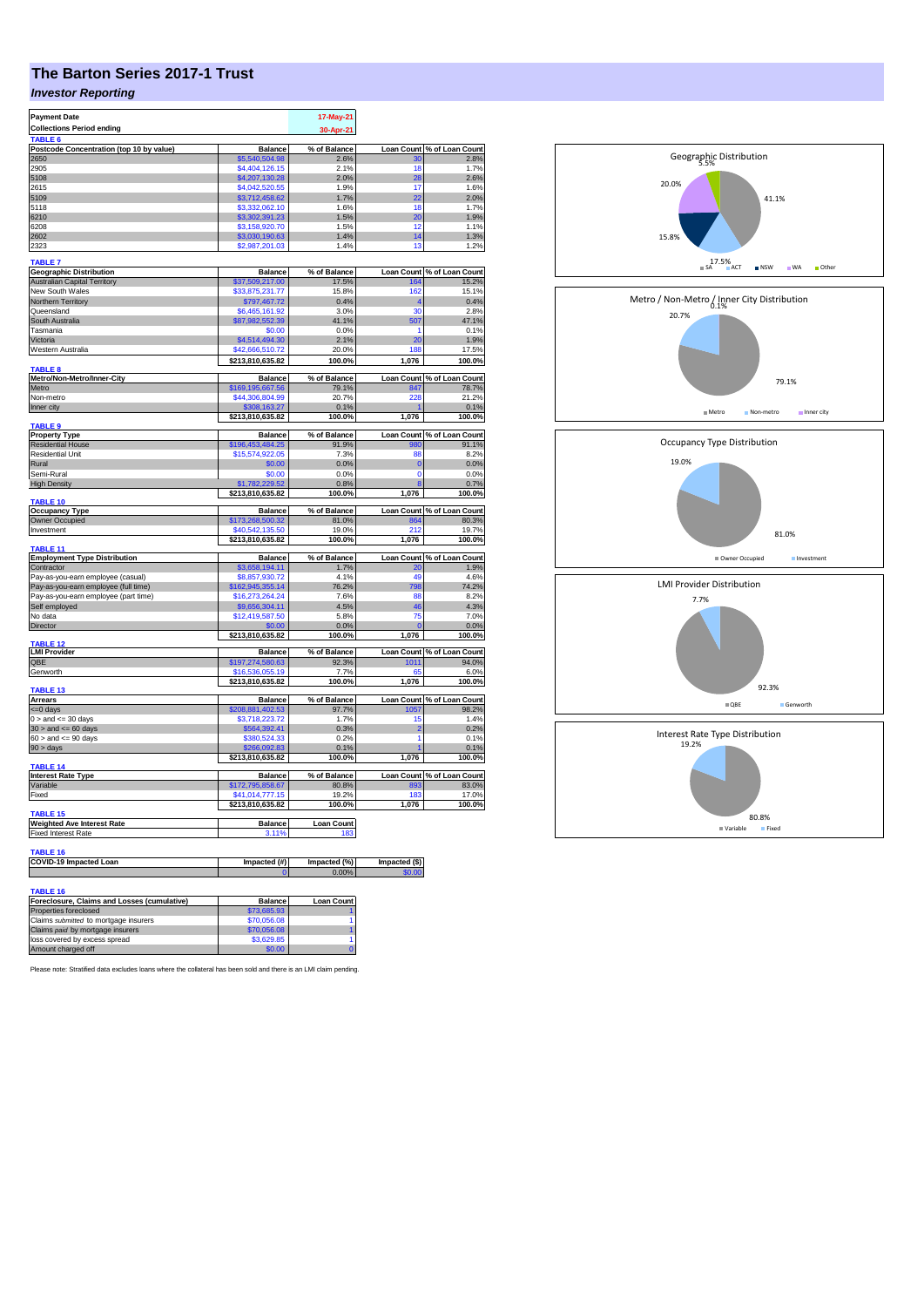# **The Barton Series 2017-1 Trust**

### *Investor Reporting*

| <b>Payment Date</b><br><b>Collections Period ending</b>        |                                     | 17-May-21<br>30-Apr-21 |                   |                                     |
|----------------------------------------------------------------|-------------------------------------|------------------------|-------------------|-------------------------------------|
| TABLE 6<br>Postcode Concentration (top 10 by value)            | <b>Balance</b>                      | % of Balance           | <b>Loan Count</b> | % of Loan Count                     |
| 2650                                                           | \$5,540,504.98                      | 2.6%                   | 30                | 2.8%                                |
| 2905                                                           | \$4,404,126.15                      | 2.1%                   | 18                | 1.7%                                |
| 5108                                                           | \$4,207,130.28                      | 2.0%                   | 28                | 2.6%                                |
| 2615<br>5109                                                   | \$4,042,520.55<br>\$3,712,458.62    | 1.9%<br>1.7%           | 17<br>22          | 1.6%<br>2.0%                        |
| 5118                                                           | \$3,332,062.10                      | 1.6%                   | 18                | 1.7%                                |
| 6210                                                           | \$3,302,391.23                      | 1.5%                   | 20                | 1.9%                                |
| 6208                                                           | \$3,158,920.70                      | 1.5%                   | 12                | 1.1%                                |
| 2602                                                           | \$3,030,190.63                      | 1.4%<br>1.4%           | 14                | 1.3%                                |
| 2323                                                           | \$2,987,201.03                      |                        | 13                | 1.2%                                |
| <b>TABLE 7</b><br><b>Geographic Distribution</b>               | <b>Balance</b>                      | % of Balance           | <b>Loan Count</b> | % of Loan Count                     |
| <b>Australian Capital Territory</b>                            | \$37,509,217.00                     | 17.5%                  | 164               | 15.2%                               |
| New South Wales                                                | \$33.875.231.77                     | 15.8%                  | 162               | 15.1%                               |
| Northern Territory                                             | \$797,467.72                        | 0.4%                   | 4                 | 0.4%                                |
| Queensland                                                     | \$6,465,161.92                      | 3.0%                   | 30                | 2.8%                                |
| South Australia                                                | \$87,982,552.39                     | 41.1%                  | 507               | 47.1%                               |
| Tasmania<br>Victoria                                           | \$0.00                              | 0.0%                   | 1<br>20           | 0.1%                                |
| Western Australia                                              | \$4,514,494.30<br>\$42,666,510.72   | 2.1%<br>20.0%          | 188               | 1.9%<br>17.5%                       |
|                                                                | \$213,810,635.82                    | 100.0%                 | 1,076             | 100.0%                              |
| <b>TABLE 8</b>                                                 |                                     |                        |                   |                                     |
| Metro/Non-Metro/Inner-City<br>Metro                            | <b>Balance</b><br>\$169,195,667.56  | % of Balance<br>79.1%  | 847               | Loan Count % of Loan Count<br>78.7% |
| Non-metro                                                      | \$44,306,804.99                     | 20.7%                  | 228               | 21.2%                               |
| Inner city                                                     | \$308,163.27                        | 0.1%                   |                   | 0.1%                                |
| TABLE <sub>9</sub>                                             | \$213,810,635.82                    | 100.0%                 | 1,076             | 100.0%                              |
| <b>Property Type</b>                                           | <b>Balance</b>                      | % of Balance           |                   | Loan Count % of Loan Count          |
| <b>Residential House</b>                                       | \$196,453,484.25                    | 91.9%                  |                   | 91.1%                               |
| <b>Residential Unit</b>                                        | \$15,574,922.05                     | 7.3%                   | 88                | 8.2%                                |
| Rural                                                          | \$0.00                              | 0.0%                   | $\bf{0}$          | 0.0%                                |
| Semi-Rural<br><b>High Density</b>                              | \$0.00<br>\$1,782,229.52            | 0.0%                   | $\Omega$<br>8     | 0.0%                                |
|                                                                | \$213,810,635.82                    | 0.8%<br>100.0%         | 1,076             | 0.7%<br>100.0%                      |
| <b>TABLE 10</b>                                                |                                     |                        |                   |                                     |
| <b>Occupancy Type</b><br>Owner Occupied                        | <b>Balance</b><br>\$173,268,500.32  | % of Balance<br>81.0%  | <b>Loan Count</b> | % of Loan Count<br>80.3%            |
| Investment                                                     | \$40,542,135.50                     | 19.0%                  | 864<br>212        | 19.7%                               |
|                                                                | \$213,810,635.82                    | 100.0%                 | 1,076             | 100.0%                              |
| <b>TABLE 11</b>                                                |                                     |                        |                   |                                     |
| <b>Employment Type Distribution</b>                            | <b>Balance</b>                      | % of Balance           | <b>Loan Count</b> | % of Loan Count                     |
| Contractor<br>Pay-as-you-earn employee (casual)                | \$3,658,194.11<br>\$8,857,930.72    | 1.7%<br>4.1%           | 20<br>49          | 1.9%<br>4.6%                        |
| Pay-as-you-earn employee (full time)                           | \$162,945,355.14                    | 76.2%                  | 798               | 74.2%                               |
| Pay-as-you-earn employee (part time)                           | \$16,273,264.24                     | 7.6%                   | 88                | 8.2%                                |
| Self employed                                                  | \$9,656,304.11                      | 4.5%                   | 46                | 4.3%                                |
| No data                                                        | \$12,419,587.50                     | 5.8%                   | 75                | 7.0%                                |
| Director                                                       | \$0.00                              | 0.0%                   |                   | 0.0%                                |
| TABLE <sub>12</sub>                                            | \$213,810,635.82                    | 100.0%                 | 1,076             | 100.0%                              |
| <b>LMI Provider</b>                                            | <b>Balance</b>                      | % of Balance           |                   | Loan Count % of Loan Count          |
| QBE                                                            | \$197,274,580.63                    | 92.3%                  | 1011              | 94.0%                               |
| Genworth                                                       | \$16,536,055.19<br>\$213,810,635.82 | 7.7%<br>100.0%         | 65<br>1,076       | 6.0%<br>100.0%                      |
| <b>TABLE 13</b>                                                |                                     |                        |                   |                                     |
| Arrears                                                        | <b>Balance</b>                      | % of Balance           |                   | Loan Count % of Loan Count          |
| $= 0$ days<br>$0 >$ and $\leq$ 30 days                         | \$208,881,402.53<br>\$3,718,223.72  | 97.7%<br>1.7%          | 1057<br>15        | 98.2%<br>1.4%                       |
| $30 >$ and $\leq 60$ days                                      | \$564,392.41                        | 0.3%                   | 2                 | 0.2%                                |
| $60 >$ and $\lt = 90$ days                                     | \$380,524.33                        | 0.2%                   | 1                 | 0.1%                                |
| $90 > \text{days}$                                             | \$266,092.83                        | 0.1%                   |                   | 0.1%                                |
| TABLE 14                                                       | \$213,810,635.82                    | 100.0%                 | 1,076             | 100.0%                              |
| <b>Interest Rate Type</b>                                      | <b>Balance</b>                      | % of Balance           | <b>Loan Count</b> | % of Loan Count                     |
| Variable                                                       | \$172,795,858.67                    | 80.8%                  | 893               | 83.0%                               |
| Fixed                                                          | \$41,014,777.15                     | 19.2%                  | 183               | 17.0%                               |
| <b>TABLE 15</b>                                                | \$213,810,635.82                    | 100.0%                 | 1,076             | 100.0%                              |
| <b>Weighted Ave Interest Rate</b>                              | <b>Balance</b>                      | <b>Loan Count</b>      |                   |                                     |
| Fixed Interest Rate                                            | 3.11%                               | 183                    |                   |                                     |
| <b>TABLE 16</b>                                                |                                     |                        |                   |                                     |
| COVID-19 Impacted Loan                                         | Impacted (#)                        | Impacted (%)           | Impacted (\$)     |                                     |
|                                                                |                                     | 0.00%                  |                   |                                     |
|                                                                |                                     |                        |                   |                                     |
| <b>TABLE 16</b><br>Foreclosure, Claims and Losses (cumulative) | <b>Balance</b>                      | Loan Count             |                   |                                     |
| Properties foreclosed                                          | \$73,685.93                         |                        |                   |                                     |
| Claims submitted to mortgage insurers                          | \$70,056.08                         | 1                      |                   |                                     |
| Claims paid by mortgage insurers                               | \$70,056.08                         | 1                      |                   |                                     |
| loss covered by excess spread                                  | \$3,629.85                          | 1                      |                   |                                     |
| Amount charged off                                             | \$0.00                              |                        |                   |                                     |



41.1%

20.0%

5.5% Geographic Distribution

Please note: Stratified data excludes loans where the collateral has been sold and there is an LMI claim pending.